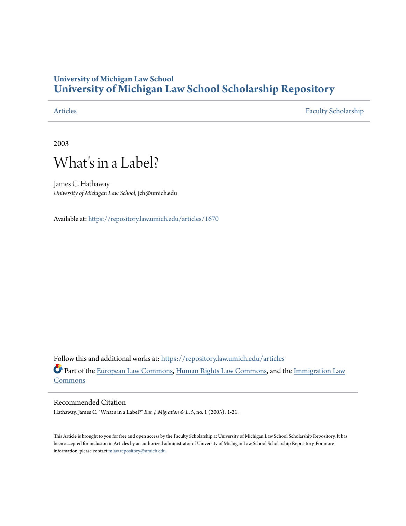## **University of Michigan Law School [University of Michigan Law School Scholarship Repository](https://repository.law.umich.edu?utm_source=repository.law.umich.edu%2Farticles%2F1670&utm_medium=PDF&utm_campaign=PDFCoverPages)**

[Articles](https://repository.law.umich.edu/articles?utm_source=repository.law.umich.edu%2Farticles%2F1670&utm_medium=PDF&utm_campaign=PDFCoverPages) [Faculty Scholarship](https://repository.law.umich.edu/faculty_scholarship?utm_source=repository.law.umich.edu%2Farticles%2F1670&utm_medium=PDF&utm_campaign=PDFCoverPages)

2003

# What's in a Label?

James C. Hathaway *University of Michigan Law School*, jch@umich.edu

Available at: <https://repository.law.umich.edu/articles/1670>

Follow this and additional works at: [https://repository.law.umich.edu/articles](https://repository.law.umich.edu/articles?utm_source=repository.law.umich.edu%2Farticles%2F1670&utm_medium=PDF&utm_campaign=PDFCoverPages) Part of the [European Law Commons,](http://network.bepress.com/hgg/discipline/1084?utm_source=repository.law.umich.edu%2Farticles%2F1670&utm_medium=PDF&utm_campaign=PDFCoverPages) [Human Rights Law Commons](http://network.bepress.com/hgg/discipline/847?utm_source=repository.law.umich.edu%2Farticles%2F1670&utm_medium=PDF&utm_campaign=PDFCoverPages), and the [Immigration Law](http://network.bepress.com/hgg/discipline/604?utm_source=repository.law.umich.edu%2Farticles%2F1670&utm_medium=PDF&utm_campaign=PDFCoverPages) [Commons](http://network.bepress.com/hgg/discipline/604?utm_source=repository.law.umich.edu%2Farticles%2F1670&utm_medium=PDF&utm_campaign=PDFCoverPages)

### Recommended Citation

Hathaway, James C. "What's in a Label?" *Eur. J. Migration & L.* 5, no. 1 (2003): 1-21.

This Article is brought to you for free and open access by the Faculty Scholarship at University of Michigan Law School Scholarship Repository. It has been accepted for inclusion in Articles by an authorized administrator of University of Michigan Law School Scholarship Repository. For more information, please contact [mlaw.repository@umich.edu.](mailto:mlaw.repository@umich.edu)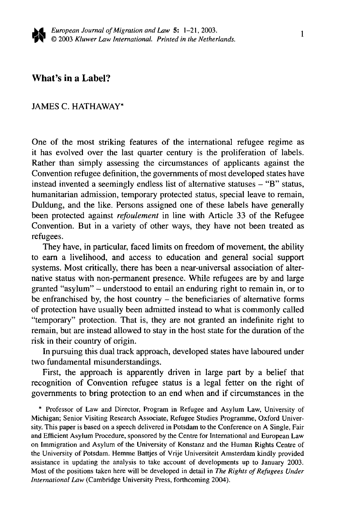#### **What's in a Label?**

#### JAMES C. HATHAWAY\*

One of the most striking features of the international refugee regime as it has evolved over the last quarter century is the proliferation of labels. Rather than simply assessing the circumstances of applicants against the Convention refugee definition, the governments of most developed states have instead invented a seemingly endless list of alternative statuses  $-$  "B" status, humanitarian admission, temporary protected status, special leave to remain, Duldung, and the like. Persons assigned one of these labels have generally been protected against *refoulement* in line with Article 33 of the Refugee Convention. But in a variety of other ways, they have not been treated as refugees.

They have, in particular, faced limits on freedom of movement, the ability to earn a livelihood, and access to education and general social support systems. Most critically, there has been a near-universal association of alternative status with non-permanent presence. While refugees are by and large granted "asylum" - understood to entail an enduring right to remain in, or to be enfranchised by, the host country – the beneficiaries of alternative forms of protection have usually been admitted instead to what is commonly called "temporary" protection. That is, they are not granted an indefinite right to remain, but are instead allowed to stay in the host state for the duration of the risk in their country of origin.

In pursuing this dual track approach, developed states have laboured under two fundamental misunderstandings.

First, the approach is apparently driven in large part by a belief that recognition of Convention refugee status is a legal fetter on the right of governments to bring protection to an end when and if circumstances in the

\* Professor of Law and Director, Program in Refugee and Asylum Law, University of Michigan; Senior Visiting Research Associate, Refugee Studies Programme, Oxford University. This paper is based on a speech delivered in Potsdam to the Conference on A Single, Fair and Efficient Asylum Procedure, sponsored by the Centre for International and European Law on Immigration and Asylum of the University of Konstanz and the Human Rights Centre of the University of Potsdam. Hemme Battjes of Vrije Universiteit Amsterdam kindly provided assistance in updating the analysis to take account of developments up to January 2003. Most of the positions taken here will be developed in detail in *The Rights of Refugees Under International Law* (Cambridge University Press, forthcoming 2004).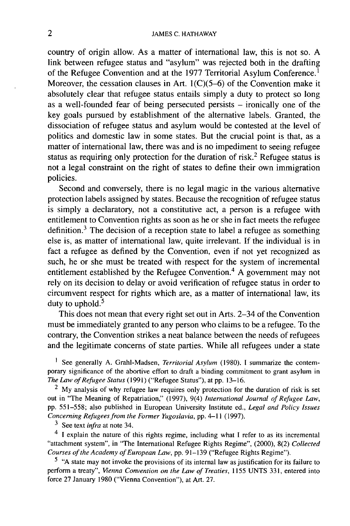#### 2 JAMES C. HATHAWAY

country of origin allow. As a matter of international law, this is not so. A link between refugee status and "asylum" was rejected both in the drafting of the Refugee Convention and at the 1977 Territorial Asylum Conference.<sup>1</sup> Moreover, the cessation clauses in Art.  $1(C)(5-6)$  of the Convention make it absolutely clear that refugee status entails simply a duty to protect so long as a well-founded fear of being persecuted persists – ironically one of the key goals pursued by establishment of the alternative labels. Granted, the dissociation of refugee status and asylum would be contested at the level of politics and domestic law in some states. But the crucial point is that, as a matter of international law, there was and is no impediment to seeing refugee status as requiring only protection for the duration of risk.<sup>2</sup> Refugee status is not a legal constraint on the right of states to define their own immigration policies.

Second and conversely, there is no legal magic in the various alternative protection labels assigned by states. Because the recognition of refugee status is simply a declaratory, not a constitutive act, a person is a refugee with entitlement to Convention rights as soon as he or she in fact meets the refugee definition.<sup>3</sup> The decision of a reception state to label a refugee as something else is, as matter of international law, quite irrelevant. If the individual is in fact a refugee as defined by the Convention, even if not yet recognized as such, he or she must be treated with respect for the system of incremental entitlement established by the Refugee Convention.<sup>4</sup> A government may not rely on its decision to delay or avoid verification of refugee status in order to circumvent respect for rights which are, as a matter of international law, its duty to uphold. $5$ 

This does not mean that every right set out in Arts. 2-34 of the Convention must be immediately granted to any person who claims to be a refugee. To the contrary, the Convention strikes a neat balance between the needs of refugees and the legitimate concerns of state parties. While all refugees under a state

1 See generally A. Grahl-Madsen, *Territorial Asylum* (1980). I summarize the contemporary significance of the abortive effort to draft a binding commitment to grant asylum in *The Law of Refugee Status* (1991) ("Refugee Status"), at pp. 13-16.

<sup>2</sup> My analysis of why refugee law requires only protection for the duration of risk is set out in "The Meaning of Repatriation," (1997), 9(4) *International Journal of Refugee Law,*  pp. 551-558; also published in European University Institute ed., *Legal and Policy Issues Concerning Refugees from the Former Yugoslavia,* pp. 4-11 (1997).

3 See text *infra* at note 34.

4 I explain the nature of this rights regime, including what I refer to as its incremental "attachment system", in ''The International Refugee Rights Regime", (2000), 8(2) *Collected Courses of the Academy of European Law,* pp. 91-139 ("Refugee Rights Regime").

5 "A state may not invoke the provisions of its internal law as justification for its failure to perform a treaty", *Vienna Convention on the Law of Treaties,* 1155 UNTS 331, entered into force 27 January 1980 ("Vienna Convention"), at Art. 27.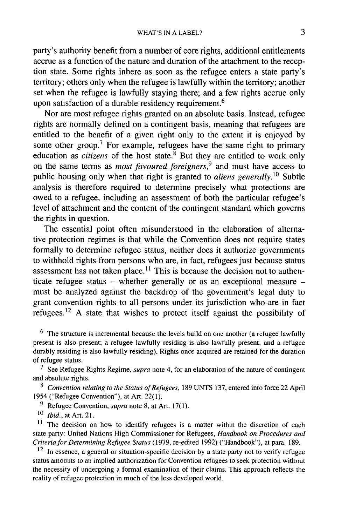party's authority benefit from a number of core rights, additional entitlements accrue as a function of the nature and duration of the attachment to the reception state. Some rights inhere as soon as the refugee enters a state party's territory; others only when the refugee is lawfully within the territory; another set when the refugee is lawfully staying there; and a few rights accrue only upon satisfaction of a durable residency requirement.<sup>6</sup>

Nor are most refugee rights granted on an absolute basis. Instead, refugee rights are normally defined on a contingent basis, meaning that refugees are entitled to the benefit of a given right only to the extent it is enjoyed by some other group.<sup>7</sup> For example, refugees have the same right to primary education as *citizens* of the host state. <sup>8</sup> But they are entitled to work only on the same terms as *most favoured foreigners*,<sup>9</sup> and must have access to public housing only when that right is granted to *aliens generally*.<sup>10</sup> Subtle analysis is therefore required to determine precisely what protections are owed to a refugee, including an assessment of both the particular refugee's level of attachment and the content of the contingent standard which governs the rights in question.

The essential point often misunderstood in the elaboration of alternative protection regimes is that while the Convention does not require states formally to determine refugee status, neither does it authorize governments to withhold rights from persons who are, in fact, refugees just because status assessment has not taken place.<sup> $11$ </sup> This is because the decision not to authenticate refugee status – whether generally or as an exceptional measure – must be analyzed against the backdrop of the government's legal duty to grant convention rights to all persons under its jurisdiction who are in fact refugees. 12 A state that wishes to protect itself against the possibility of

6 The structure is incremental because the levels build on one another (a refugee lawfully present is also present; a refugee lawfully residing is also lawfully present; and a refugee durably residing is also lawfully residing). Rights once acquired are retained for the duration of refugee status.

7 See Refugee Rights Regime, *supra* note 4, for an elaboration of the nature of contingent and absolute rights.

<sup>8</sup>*Convention relating to the Status of Refugees,* 189 UNTS 137, entered into force 22 April 1954 ("Refugee Convention"), at Art. 22(1).

9 Refugee Convention, *supra* note 8, at Art. 17(1 ).

<sup>10</sup>*Ibid.,* at Art. 21.

 $11$  The decision on how to identify refugees is a matter within the discretion of each state party: United Nations High Commissioner for Refugees, *Handbook on Procedures and Criteriafor Determining Refugee Status* (1979, re-edited 1992) ("Handbook"), at para. 189.

 $12$  In essence, a general or situation-specific decision by a state party not to verify refugee status amounts to an implied authorization for Convention refugees to seek protection without the necessity of undergoing a formal examination of their claims. This approach reflects the reality of refugee protection in much of the less developed world.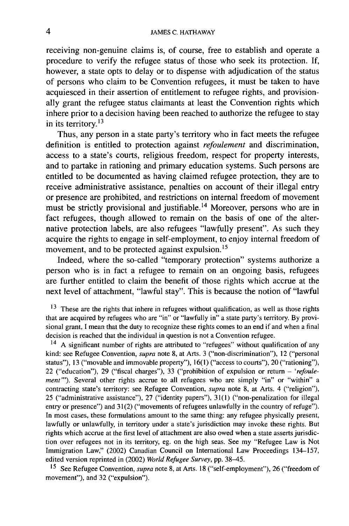receiving non-genuine claims is, of course, free to establish and operate a procedure to verify the refugee status of those who seek its protection. If, however, a state opts to delay or to dispense with adjudication of the status of persons who claim to be Convention refugees, it must be taken to have acquiesced in their assertion of entitlement to refugee rights, and provisionally grant the refugee status claimants at least the Convention rights which inhere prior to a decision having been reached to authorize the refugee to stay in its territory.<sup>13</sup>

Thus, any person in a state party's territory who in fact meets the refugee definition is entitled to protection against *refoulement* and discrimination, access to a state's courts, religious freedom, respect for property interests, and to partake in rationing and primary education systems. Such persons are entitled to be documented as having claimed refugee protection, they are to receive administrative assistance, penalties on account of their illegal entry or presence are prohibited, and restrictions on internal freedom of movement must be strictly provisional and justifiable.<sup>14</sup> Moreover, persons who are in fact refugees, though allowed to remain on the basis of one of the alternative protection labels, are also refugees "lawfully present". As such they acquire the rights to engage in self-employment, to enjoy internal freedom of movement, and to be protected against expulsion.<sup>15</sup>

Indeed, where the so-called "temporary protection" systems authorize a person who is in fact a refugee to remain on an ongoing basis, refugees are further entitled to claim the benefit of those rights which accrue at the next level of attachment, "lawful stay". This is because the notion of "lawful

<sup>13</sup> These are the rights that inhere in refugees without qualification, as well as those rights that are acquired by refugees who are "in" or "lawfully in" a state party's territory. By provisional grant, I mean that the duty to recognize these rights comes to an end if and when a final decision is reached that the individual in question is not a Convention refugee.

 $14$  A significant number of rights are attributed to "refugees" without qualification of any kind: see Refugee Convention, *supra* note 8, at Arts. 3 ("non-discrimination"), 12 ("personal status"), 13 ("movable and immovable property"), 16( I) ("access to courts"), 20 ("rationing"), 22 ("education"), 29 ("fiscal charges"), 33 ("prohibition of expulsion or return - 'refoule*ment*"'). Several other rights accrue to all refugees who are simply "in" or "within" a contracting state's territory: see Refugee Convention, *supra* note 8, at Arts. 4 ("religion"), 25 ("administrative assistance"), 27 ("identity papers"), 31(1) ("non-penalization for illegal entry or presence") and  $31(2)$  ("movements of refugees unlawfully in the country of refuge"). In most cases, these formulations amount to the same thing: any refugee physically present, lawfully or unlawfully, in territory under a state's jurisdiction may invoke these rights. But rights which accrue at the first level of attachment are also owed when a state asserts jurisdiction over refugees not in its territory, eg. on the high seas. See my "Refugee Law is Not Immigration Law," (2002) Canadian Council on International Law Proceedings 134-157, edited version reprinted in (2002) *World Refugee Survey,* pp. 38-45.

<sup>15</sup> See Refugee Convention, *supra* note 8, at Arts. 18 ("self-employment"), 26 ("freedom of movement"), and 32 ("expulsion").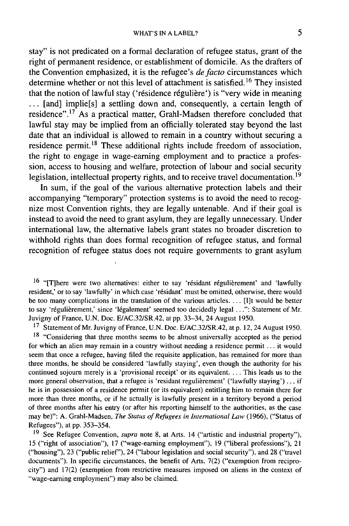stay" is not predicated on a formal declaration of refugee status, grant of the right of permanent residence, or establishment of domicile. As the drafters of the Convention emphasized, it is the refugee's *de facto* circumstances which determine whether or not this level of attachment is satisfied.<sup>16</sup> They insisted that the notion of lawful stay ('residence reguliere') is "very wide in meaning ... [and] implie[s] a settling down and, consequently, a certain length of residence". 17 As a practical matter, Grahl-Madsen therefore concluded that lawful stay may be implied from an officially tolerated stay beyond the last date that an individual is allowed to remain in a country without securing a residence permit.<sup>18</sup> These additional rights include freedom of association, the right to engage in wage-earning employment and to practice a profession, access to housing and welfare, protection of labour and social security legislation, intellectual property rights, and to receive travel documentation.<sup>19</sup>

In sum, if the goal of the various alternative protection labels and their accompanying "temporary" protection systems is to avoid the need to recognize most Convention rights, they are legally untenable. And if their goal is instead to avoid the need to grant asylum, they are legally unnecessary. Under international law, the alternative labels grant states no broader discretion to withhold rights than does formal recognition of refugee status, and formal recognition of refugee status does not require governments to grant asylum

<sup>16</sup> "[T]here were two alternatives: either to say 'résidant régulièrement' and 'lawfully resident,' or to say 'lawfully' in which case 'residant' must be omitted, otherwise, there would be too many complications in the translation of the various articles. ... [I]t would be better to say 'régulièrement,' since 'légalement' seemed too decidedly legal ...": Statement of Mr. Juvigny of France, U.N. Doc. E/ AC.32/SR.42, at pp. 33-34, 24 August 1950.

<sup>17</sup> Statement of Mr. Juvigny of France, U.N. Doc. E/AC.32/SR.42, at p. 12, 24 August 1950. <sup>18</sup> "Considering that three months seems to be almost universally accepted as the period for which an alien may remain in a country without needing a residence permit ... it would seem that once a refugee, having filed the requisite application, has remained for more than three months, he should be considered 'lawfully staying', even though the authority for his continued sojourn merely is a 'provisional receipt' or its equivalent .... This leads us to the more general observation, that a refugee is 'residant regulierement' ('lawfully staying') ... if he is in possession of a residence permit (or its equivalent) entitling him to remain there for more than three months, or if he actually is lawfully present in a territory beyond a period of three months after his entry (or after his reporting himself to the authorities, as the case may be)": A. Grahl-Madsen, *The Status of Refugees in International Law* (1966), ("Status of Refugees"), at pp. 353-354.

<sup>19</sup> See Refugee Convention, *supra* note 8, at Arts. 14 ("artistic and industrial property"), 15 ("right of association"), 17 ("wage-earning employment"), 19 ("liberal professions"), 21 ("housing"), 23 ("public relief'), 24 ("labour legislation and social security"), and 28 ("travel documents"). In specific circumstances, the benefit of Arts. 7(2) ("exemption from reciprocity") and 17(2) (exemption from restrictive measures imposed on aliens in the context of "wage-earning employment") may also be claimed.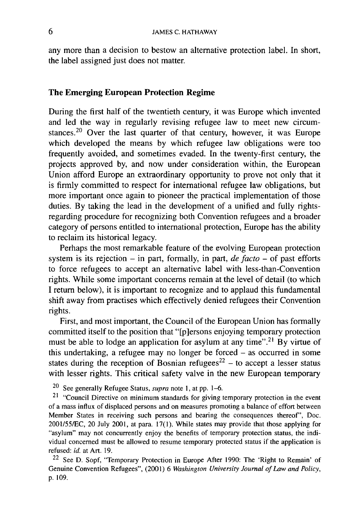any more than a decision to bestow an alternative protection label. In short, the label assigned just does not matter.

#### **The Emerging European Protection Regime**

During the first half of the twentieth century, it was Europe which invented and led the way in regularly revising refugee law to meet new circumstances.<sup>20</sup> Over the last quarter of that century, however, it was Europe which developed the means by which refugee law obligations were too frequently avoided, and sometimes evaded. In the twenty-first century, the projects approved by, and now under consideration within, the European Union afford Europe an extraordinary opportunity to prove not only that it is firmly committed to respect for international refugee law obligations, but more important once again to pioneer the practical implementation of those duties. By taking the lead in the development of a unified and fully rightsregarding procedure for recognizing both Convention refugees and a broader category of persons entitled to international protection, Europe has the ability to reclaim its historical legacy.

Perhaps the most remarkable feature of the evolving European protection system is its rejection  $-$  in part, formally, in part, *de facto*  $-$  of past efforts to force refugees to accept an alternative label with less-than-Convention rights. While some important concerns remain at the level of detail (to which I return below), it is important to recognize and to applaud this fundamental shift away from practises which effectively denied refugees their Convention rights.

First, and most important, the Council of the European Union has formally committed itself to the position that "[p ]ersons enjoying temporary protection must be able to lodge an application for asylum at any time".<sup>21</sup> By virtue of this undertaking, a refugee may no longer be forced - as occurred in some states during the reception of Bosnian refugees<sup>22</sup> – to accept a lesser status with lesser rights. This critical safety valve in the new European temporary

20 See generally Refugee Status, *supra* note I, at pp. 1-6.

 $21$  "Council Directive on minimum standards for giving temporary protection in the event of a mass influx of displaced persons and on measures promoting a balance of effort between Member States in receiving such persons and bearing the consequences thereof", Doc. 2001/55/EC, 20 July 2001, at para. 17(1). While states may provide that those applying for "asylum" may not concurrently enjoy the benefits of temporary protection status, the individual concerned must be allowed to resume temporary protected status if the application is refused: *id.* at Art. 19.

<sup>22</sup> See D. Sopf, "Temporary Protection in Europe After 1990: The 'Right to Remain' of Genuine Convention Refugees", (2001) 6 *Washington University Journal of Law and Policy,*  p. 109.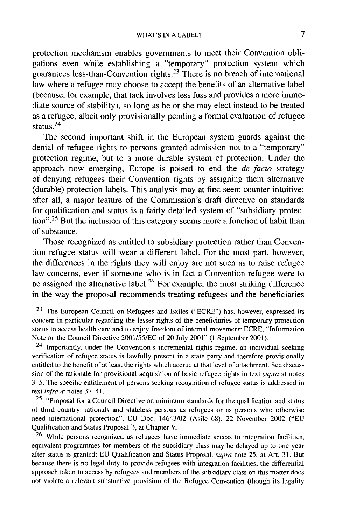protection mechanism enables governments to meet their Convention obligations even while establishing a "temporary" protection system which guarantees less-than-Convention rights.<sup>23</sup> There is no breach of international law where a refugee may choose to accept the benefits of an alternative label (because, for example, that tack involves less fuss and provides a more immediate source of stability), so long as he or she may elect instead to be treated as a refugee, albeit only provisionally pending a formal evaluation of refugee status<sup>24</sup>

The second important shift in the European system guards against the denial of refugee rights to persons granted admission not to a "temporary" protection regime, but to a more durable system of protection. Under the approach now emerging, Europe is poised to end the *de facto* strategy of denying refugees their Convention rights by assigning them alternative (durable) protection labels. This analysis may at first seem counter-intuitive: after all, a major feature of the Commission's draft directive on standards for qualification and status is a fairly detailed system of "subsidiary protection".<sup>25</sup> But the inclusion of this category seems more a function of habit than of substance.

Those recognized as entitled to subsidiary protection rather than Convention refugee status will wear a different label. For the most part, however, the differences in the rights they will enjoy are not such as to raise refugee law concerns, even if someone who is in fact a Convention refugee were to be assigned the alternative label.<sup>26</sup> For example, the most striking difference in the way the proposal recommends treating refugees and the beneficiaries

23 The European Council on Refugees and Exiles ("ECRE") has, however, expressed its concern in particular regarding the lesser rights of the beneficiaries of temporary protection status to access health care and to enjoy freedom of internal movement: ECRE, "Information Note on the Council Directive 2001/55/EC of 20 July 2001" (1 September 2001).

 $24$  Importantly, under the Convention's incremental rights regime, an individual seeking verification of refugee status is lawfully present in a state party and therefore provisionally entitled to the benefit of at least the rights which accrue at that level of attachment. See discussion of the rationale for provisional acquisition of basic refugee rights in text *supra* at notes 3-5. The specific entitlement of persons seeking recognition of refugee status is addressed in text *infra* at notes 37-41.

<sup>25</sup> "Proposal for a Council Directive on minimum standards for the qualification and status of third country nationals and stateless persons as refugees or as persons who otherwise need international protection", EU Doc. 14643/02 (Asile 68), 22 November 2002 ("EU Qualification and Status Proposal"), at Chapter V.

 $26$  While persons recognized as refugees have immediate access to integration facilities, equivalent programmes for members of the subsidiary class may be delayed up to one year after status is granted: EU Qualification and Status Proposal, *supra* note 25, at Art. 31. But because there is no legal duty to provide refugees with integration facilities, the differential approach taken to access by refugees and members of the subsidiary class on this matter does not violate a relevant substantive provision of the Refugee Convention (though its legality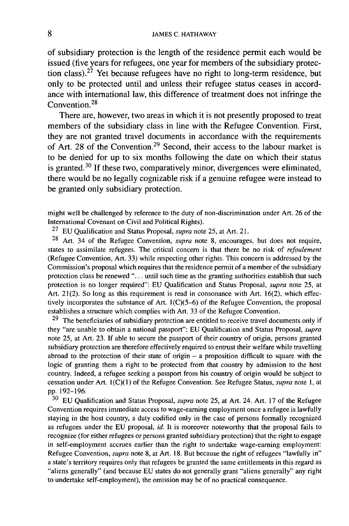of subsidiary protection is the length of the residence permit each would be issued (five years for refugees, one year for members of the subsidiary protection class).<sup>27</sup> Yet because refugees have no right to long-term residence, but only to be protected until and unless their refugee status ceases in accordance with international law, this difference of treatment does not infringe the Convention. 28

There are, however, two areas in which it is not presently proposed to treat members of the subsidiary class in line with the Refugee Convention. First, they are not granted travel documents in accordance with the requirements of Art. 28 of the Convention.<sup>29</sup> Second, their access to the labour market is to be denied for up to six months following the date on which their status is granted.<sup>30</sup> If these two, comparatively minor, divergences were eliminated, there would be no legally cognizable risk if a genuine refugee were instead to be granted only subsidiary protection.

might well be challenged by reference to the duty of non-discrimination under Art. 26 of the International Covenant on Civil and Political Rights).

27 EU Qualification and Status Proposal, *supra* note 25, at Art. 21.

28 Art. 34 of the Refugee Convention, *supra* note 8, encourages, but does not require, states to assimilate refugees. The critical concern is that there be no risk of *refoulement*  (Refugee Convention, Art. 33) while respecting other rights. This concern is addressed by the Commission's proposal which requires that the residence permit of a member of the subsidiary protection class be renewed "... until such time as the granting authorities establish that such protection is no longer required": EU Qualification and Status Proposal, *supra* note 25, at Art. 21(2). So long as this requirement is read in consonance with Art. 16(2), which effectively incorporates the substance of Art.  $1(C)(5-6)$  of the Refugee Convention, the proposal establishes a structure which complies with Art. 33 of the Refugee Convention.

 $29$  The beneficiaries of subsidiary protection are entitled to receive travel documents only if they "are unable to obtain a national passport": EU Qualification and Status Proposal, *supra*  note 25, at Art. 23. If able to secure the passport of their country of origin, persons granted subsidiary protection are therefore effectively required to entrust their welfare while travelling abroad to the protection of their state of origin  $-$  a proposition difficult to square with the logic of granting them a right to be protected from that country by admission to the host country. Indeed, a refugee seeking a passport from his country of origin would be subject to cessation under Art. l(C)(l) of the Refugee Convention. See Refugee Status, *supra* note l, at pp. 192-196.

30 EU Qualification and Status Proposal, *supra* note 25, at Art. 24. Art. 17 of the Refugee Convention requires immediate access to wage-earning employment once a refugee is lawfully staying in the host country, a duty codified only in the case of persons formally recognized as refugees under the EU proposal, *id.* It is moreover noteworthy that the proposal fails to recognize (for either refugees or persons granted subsidiary protection) that the right to engage in self-employment accrues earlier than the right to undertake wage-earning employment: Refugee Convention, *supra* note 8, at Art. 18. But because the right of refugees "lawfully in" a state's territory requires only that refugees be granted the same entitlements in this regard as "aliens generally" (and because EU states do not generally grant "aliens generally" any right to undertake self-employment), the omission may be of no practical consequence.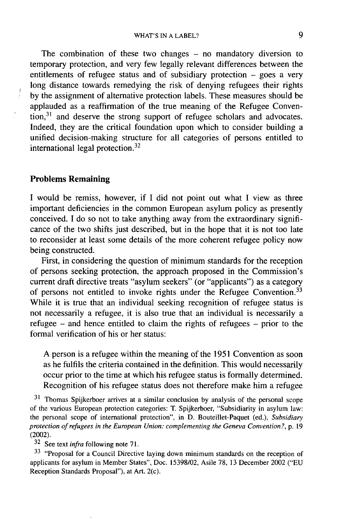The combination of these two changes  $-$  no mandatory diversion to temporary protection, and very few legally relevant differences between the entitlements of refugee status and of subsidiary protection - goes a very long distance towards remedying the risk of denying refugees their rights by the assignment of alternative protection labels. These measures should be applauded as a reaffirmation of the true meaning of the Refugee Convention,<sup>31</sup> and deserve the strong support of refugee scholars and advocates. Indeed, they are the critical foundation upon which to consider building a unified decision-making structure for all categories of persons entitled to international legal protection. 32

#### **Problems Remaining**

I would be remiss, however, if I did not point out what I view as three important deficiencies in the common European asylum policy as presently conceived. I do so not to take anything away from the extraordinary significance of the two shifts just described, but in the hope that it is not too late to reconsider at least some details of the more coherent refugee policy now being constructed.

First, in considering the question of minimum standards for the reception of persons seeking protection, the approach proposed in the Commission's current draft directive treats "asylum seekers" (or "applicants") as a category of persons not entitled to invoke rights under the Refugee Convention.<sup>33</sup> While it is true that an individual seeking recognition of refugee status is not necessarily a refugee, it is also true that an individual is necessarily a refugee - and hence entitled to claim the rights of refugees - prior to the formal verification of his or her status:

A person is a refugee within the meaning of the 1951 Convention as soon as he fulfils the criteria contained in the definition. This would necessarily occur prior to the time at which his refugee status is formally determined. Recognition of his refugee status does not therefore make him a refugee

 $31$  Thomas Spijkerboer arrives at a similar conclusion by analysis of the personal scope of the various European protection categories: T. Spijkerboer, "Subsidiarity in asylum law: the personal scope of international protection", in D. Bouteillet-Paquet (ed.), *Subsidiary protection of refugees in the European Union: complementing the Geneva Convention?,* p. 19 (2002).

32 See text *infra* following note 71.

33 "Proposal for a Council Directive laying down minimum standards on the reception of applicants for asylum in Member States", Doc. 15398/02, Asile 78, 13 December 2002 ("EU Reception Standards Proposal"), at Art. 2(c).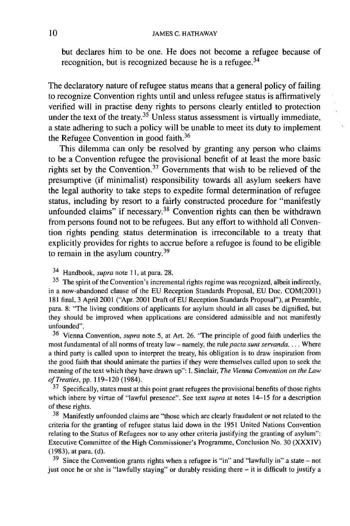but declares him to be one. He does not become a refugee because of recognition, but is recognized because he is a refugee.<sup>34</sup>

The declaratory nature of refugee status means that a general policy of failing to recognize Convention rights until and unless refugee status is affirmatively verified will in practise deny rights to persons clearly entitled to protection under the text of the treaty.<sup>35</sup> Unless status assessment is virtually immediate. a state adhering to such a policy will be unable to meet its duty to implement the Refugee Convention in good faith. 36

This dilemma can only be resolved by granting any person who claims to be a Convention refugee the provisional benefit of at least the more basic rights set by the Convention.<sup>37</sup> Governments that wish to be relieved of the presumptive (if minimalist) responsibility towards all asylum seekers have the legal authority to take steps to expedite formal determination of refugee status, including by resort to a fairly constructed procedure for "manifestly unfounded claims" if necessary.<sup>38</sup> Convention rights can then be withdrawn from persons found not to be refugees. But any effort to withhold all Convention rights pending status determination is irreconcilable to a treaty that explicitly provides for rights to accrue before a refugee is found to be eligible to remain in the asylum country.<sup>39</sup>

34 Handbook, *supra* note 11, at para. 28.

 $35$  The spirit of the Convention's incremental rights regime was recognized, albeit indirectly, in a now-abandoned clause of the EU Reception Standards Proposal, EU Doc. COM(2001) 181 final, 3 April 2001 ("Apr. 2001 Draft of EU Reception Standards Proposal"), at Preamble, para. 8: "The living conditions of applicants for asylum should in all cases be dignified, but they should be improved when applications are considered admissible and not manifestly unfounded".

36 Vienna Convention, *supra* note 5, at Art. 26. "The principle of good faith underlies the most fundamental of all norms of treaty law - namely, the rule *pacta sunt servanda .* ... Where a third party is called upon to interpret the treaty, his obligation is to draw inspiration from the good faith that should animate the parties if they were themselves called upon to seek the meaning of the text which they have drawn up": I. Sinclair, *The Vienna Convention on the Law of Treaties,* pp. I 19-120 (1984).

 $37$  Specifically, states must at this point grant refugees the provisional benefits of those rights which inhere by virtue of "lawful presence". See text *supra* at notes 14-15 for a description of these rights.

<sup>38</sup> Manifestly unfounded claims are "those which are clearly fraudulent or not related to the criteria for the granting of refugee status laid down in the 1951 United Nations Convention relating to the Status of Refugees nor to any other criteria justifying the granting of asylum": Executive Committee of the High Commissioner's Programme, Conclusion No. 30 (XXXIV)  $(1983)$ , at para.  $(d)$ .

<sup>39</sup> Since the Convention grants rights when a refugee is "in" and "lawfully in" a state – not just once he or she is "lawfully staying" or durably residing there - it is difficult to justify a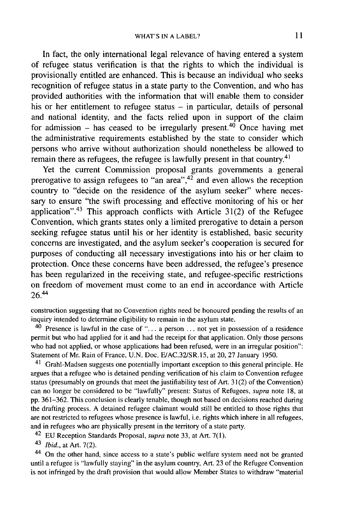In fact, the only international legal relevance of having entered a system of refugee status verification is that the rights to which the individual is provisionally entitled are enhanced. This is because an individual who seeks recognition of refugee status in a state party to the Convention, and who has provided authorities with the information that will enable them to consider his or her entitlement to refugee status  $-$  in particular, details of personal and national identity, and the facts relied upon in support of the claim for admission – has ceased to be irregularly present.<sup>40</sup> Once having met the administrative requirements established by the state to consider which persons who arrive without authorization should nonetheless be allowed to remain there as refugees, the refugee is lawfully present in that country.<sup>41</sup>

Yet the current Commission proposal grants governments a general prerogative to assign refugees to "an area", $42$  and even allows the reception country to "decide on the residence of the asylum seeker" where necessary to ensure "the swift processing and effective monitoring of his or her application".<sup>43</sup> This approach conflicts with Article 31(2) of the Refugee Convention, which grants states only a limited prerogative to detain a person seeking refugee status until his or her identity is established, basic security concerns are investigated, and the asylum seeker's cooperation is secured for purposes of conducting all necessary investigations into his or her claim to protection. Once these concerns have been addressed, the refugee's presence has been regularized in the receiving state, and refugee-specific restrictions on freedom of movement must come to an end in accordance with Article 26.<sup>44</sup>

construction suggesting that no Convention rights need be honoured pending the results of an inquiry intended to determine eligibility to remain in the asylum state.

<sup>40</sup> Presence is lawful in the case of "... a person ... not yet in possession of a residence permit but who had applied for it and had the receipt for that application. Only those persons who had not applied, or whose applications had been refused, were in an irregular position": Statement of Mr. Rain of France, U.N. Doc. E/AC.32/SR.15, at 20, 27 January 1950.

 $41$  Grahl-Madsen suggests one potentially important exception to this general principle. He argues that a refugee who is detained pending verification of his claim to Convention refugee status (presumably on grounds that meet the justifiability test of Art. 31 (2) of the Convention) can no longer be considered to be "lawfully" present: Status of Refugees, *supra* note 18, at pp. 361-362. This conclusion is clearly tenable, though not based on decisions reached during the drafting process. A detained refugee claimant would still be entitled to those rights that are not restricted to refugees whose presence is lawful, i.e. rights which inhere in all refugees, and in refugees who are physically present in the territory of a state party.

42 EU Reception Standards Proposal, *supra* note 33, at Art. 7(1).

<sup>43</sup>*Ibid.,* at Art. 7(2).

44 On the other hand, since access to a state's public welfare system need not be granted until a refugee is "lawfully staying" in the asylum country, Art. 23 of the Refugee Convention is not infringed by the draft provision that would allow Member States to withdraw "material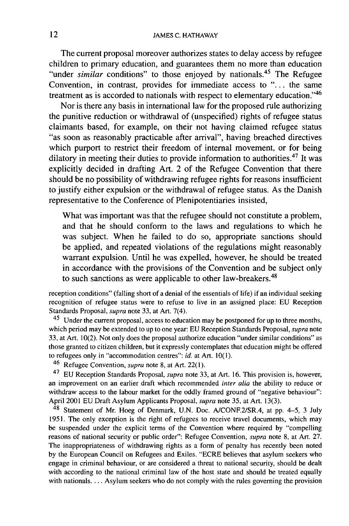The current proposal moreover authorizes states to delay access by refugee children to primary education, and guarantees them no more than education "under *similar* conditions" to those enjoyed by nationals.<sup>45</sup> The Refugee Convention, in contrast, provides for immediate access to " $\dots$  the same treatment as is accorded to nationals with respect to elementary education."<sup>46</sup>

Nor is there any basis in international law for the proposed rule authorizing the punitive reduction or withdrawal of (unspecified) rights of refugee status claimants based, for example, on their not having claimed refugee status "as soon as reasonably practicable after arrival", having breached directives which purport to restrict their freedom of internal movement, or for being dilatory in meeting their duties to provide information to authorities.<sup>47</sup> It was explicitly decided in drafting Art. 2 of the Refugee Convention that there should be no possibility of withdrawing refugee rights for reasons insufficient to justify either expulsion or the withdrawal of refugee status. As the Danish representative to the Conference of Plenipotentiaries insisted,

What was important was that the refugee should not constitute a problem, and that he should conform to the laws and regulations to which he was subject. When he failed to do so, appropriate sanctions should be applied, and repeated violations of the regulations might reasonably warrant expulsion. Until he was expelled, however, he should be treated in accordance with the provisions of the Convention and be subject only to such sanctions as were applicable to other law-breakers. $48$ 

reception conditions" (falling short of a denial of the essentials of life) if an individual seeking recognition of refugee status were to refuse to live in an assigned place: EU Reception Standards Proposal, *supra* note 33, at Art. 7(4).

<sup>45</sup> Under the current proposal, access to education may be postponed for up to three months, which period may be extended to up to one year: EU Reception Standards Proposal, *supra* note 33, at Art. I 0(2). Not only does the proposal authorize education "under similar conditions" as those granted to citizen children, but it expressly contemplates that education might be offered to refugees only in "accommodation centres": *id.* at Art.  $10(1)$ .

46 Refugee Convention, *supra* note 8, at Art. 22( I).

47 EU Reception Standards Proposal, *supra* note 33, at Art. 16. This provision is, however, an improvement on an earlier draft which recommended *inter alia* the ability to reduce or withdraw access to the labour market for the oddly framed ground of "negative behaviour": April 2001 EU Draft Asylum Applicants Proposal, *supra* note 35, at Art. 13(3).

48 Statement of Mr. Hoeg of Denmark, U.N. Doc. A/CONF.2/SR.4, at pp. 4-5, 3 July 1951. The only exception is the right of refugees to receive travel documents, which may be suspended under the explicit terms of the Convention where required by "compelling reasons of national security or public order": Refugee Convention, *supra* note 8, at Art. 27. The inappropriateness of withdrawing rights as a form of penalty has recently been noted by the European Council on Refugees and Exiles. "ECRE believes that asylum seekers who engage in criminal behaviour, or are considered a threat to national security, should be dealt with according to the national criminal law of the host state and should be treated equally with nationals .... Asylum seekers who do not comply with the rules governing the provision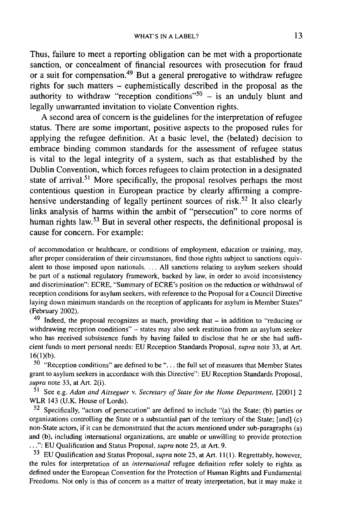Thus, failure to meet a reporting obligation can be met with a proportionate sanction, or concealment of financial resources with prosecution for fraud or a suit for compensation.<sup>49</sup> But a general prerogative to withdraw refugee rights for such matters - euphemistically described in the proposal as the authority to withdraw "reception conditions"<sup>50</sup> - is an unduly blunt and legally unwarranted invitation to violate Convention rights.

A second area of concern is the guidelines for the interpretation of refugee status. There are some important, positive aspects to the proposed rules for applying the refugee definition. At a basic level, the (belated) decision to embrace binding common standards for the assessment of refugee status is vital to the legal integrity of a system, such as that established by the Dublin Convention, which forces refugees to claim protection in a designated state of arrival.<sup>51</sup> More specifically, the proposal resolves perhaps the most contentious question in European practice by clearly affirming a comprehensive understanding of legally pertinent sources of risk.<sup>52</sup> It also clearly links analysis of harms within the ambit of "persecution" to core norms of human rights law.<sup>53</sup> But in several other respects, the definitional proposal is cause for concern. For example:

of accommodation or healthcare, or conditions of employment, education or training, may, after proper consideration of their circumstances, find those rights subject to sanctions equivalent to those imposed upon nationals. . . . All sanctions relating to asylum seekers should be part of a national regulatory framework, backed by law, in order to avoid inconsistency and discrimination": ECRE, "Summary of ECRE's position on the reduction or withdrawal of reception conditions for asylum seekers, with reference to the Proposal for a Council Directive laying down minimum standards on the reception of applicants for asylum in Member States" (February 2002).

 $49$  Indeed, the proposal recognizes as much, providing that – in addition to "reducing or withdrawing reception conditions" - states may also seek restitution from an asylum seeker who has received subsistence funds by having failed to disclose that he or she had sufficient funds to meet personal needs: EU Reception Standards Proposal, *supra* note 33, at Art. 16(1)(b).

<sup>50</sup> "Reception conditions" are defined to be "... the full set of measures that Member States grant to asylum seekers in accordance with this Directive": EU Reception Standards Proposal, *supra* note 33, at Art. 2(i).

51 See e.g. *Adan and Aitseguer v. Secretary of State for the Home Department*, [2001] 2 WLR 143 (U.K. House of Lords).

52 Specifically, "actors of persecution" are defined to include "(a) the State; (b) parties or organizations controlling the State or a substantial part of the territory of the State; [and] (c) non-State actors, if it can be demonstrated that the actors mentioned under sub-paragraphs (a) and (b), including international organizations, are unable or unwilling to provide protection ... ": EU Qualification and Status Proposal, *supra* note 25, at Art. 9.

53 EU Qualification and Status Proposal, *supra* note 25, at Art. 11 (I). Regrettably, however, the rules for interpretation of an *international* refugee definition refer solely to rights as defined under the European Convention for the Protection of Human Rights and Fundamental Freedoms. Not only is this of concern as a matter of treaty interpretation, but it may make it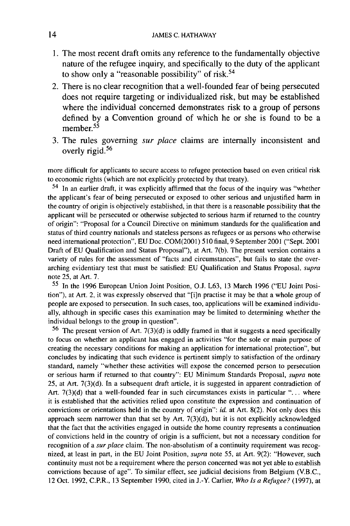- l. The most recent draft omits any reference to the fundamentally objective nature of the refugee inquiry, and specifically to the duty of the applicant to show only a "reasonable possibility" of risk. $54$
- 2. There is no clear recognition that a well-founded fear of being persecuted does not require targeting or individualized risk, but may be established where the individual concerned demonstrates risk to a group of persons defined by a Convention ground of which he or she is found to be a member.<sup>55</sup>
- 3. The rules governing *sur place* claims are internally inconsistent and overly rigid. $56$

more difficult for applicants to secure access to refugee protection based on even critical risk to economic rights (which are not explicitly protected by that treaty).

 $54$  In an earlier draft, it was explicitly affirmed that the focus of the inquiry was "whether the applicant's fear of being persecuted or exposed to other serious and unjustified harm in the country of origin is objectively established, in that there is a reasonable possibility that the applicant will be persecuted or otherwise subjected to serious harm if returned to the country of origin": "Proposal for a Council Directive on minimum standards for the qualification and status of third country nationals and stateless persons as refugees or as persons who otherwise need international protection'', EU Doc. COM(2001) 510 final, 9 September 2001 ("Sept. 2001 Draft of EU Qualification and Status Proposal"), at Art. 7(b). The present version contains a variety of rules for the assessment of "facts and circumstances", but fails to state the overarching evidentiary test that must be satisfied: EU Qualification and Status Proposal, *supra*  note 25, at Art. 7.

SS In the 1996 European Union Joint Position, O.J. L63, 13 March 1996 ("EU Joint Position"), at Art. 2, it was expressly observed that "[i]n practise it may be that a whole group of people are exposed to persecution. In such cases, too, applications will be examined individually, although in specific cases this examination may be limited to determining whether the individual belongs to the group in question".

 $56$  The present version of Art. 7(3)(d) is oddly framed in that it suggests a need specifically to focus on whether an applicant has engaged in activities "for the sole or main purpose of creating the necessary conditions for making an application for international protection", but concludes by indicating that such evidence is pertinent simply to satisfaction of the ordinary standard, namely "whether these activities will expose the concerned person to persecution or serious harm if returned to that country": EU Minimum Standards Proposal, *supra* note 25, at Art. 7(3)(d). In a subsequent draft article, it is suggested in apparent contradiction of Art.  $7(3)(d)$  that a well-founded fear in such circumstances exists in particular "... where it is established that the activities relied upon constitute the expression and continuation of convictions or orientations held in the country of origin": id. at Art. 8(2). Not only does this approach seem narrower than that set by Art. 7(3)(d), but it is not explicitly acknowledged that the fact that the activities engaged in outside the home country represents a continuation of convictions held in the country of origin is a sufficient, but not a necessary condition for recognition of a *sur place* claim. The non-absolutism of a continuity requirement was recognized, at least in part, in the EU Joint Position, *supra* note 55, at Art. 9(2): "However, such continuity must not be a requirement where the person concerned was not yet able to establish convictions because of age". To similar effect, see judicial decisions from Belgium (V.B.C., 12 Oct. 1992, C.P.R., 13 September 1990, cited in J.-Y. Carlier, *Who ls a Refugee?* (1997), at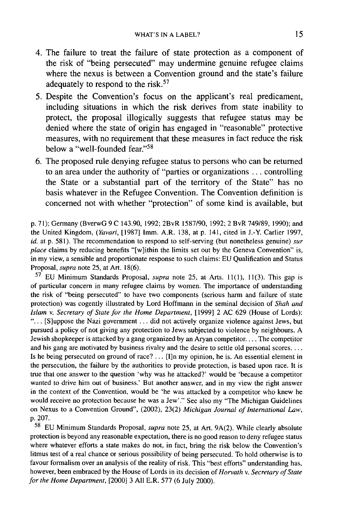- 4. The failure to treat the failure of state protection as a component of the risk of "being persecuted" may undermine genuine refugee claims where the nexus is between a Convention ground and the state's failure adequately to respond to the risk.<sup>57</sup>
- 5. Despite the Convention's focus on the applicant's real predicament, including situations in which the risk derives from state inability to protect, the proposal illogically suggests that refugee status may be denied where the state of origin has engaged in "reasonable" protective measures, with no requirement that these measures in fact reduce the risk below a "well-founded fear."<sup>58</sup>
- 6. The proposed rule denying refugee status to persons who can be returned to an area under the authority of "parties or organizations ... controlling the State or a substantial part of the territory of the State" has no basis whatever in the Refugee Convention. The Convention definition is concerned not with whether "protection" of some kind is available, but

p. 71); Germany (BverwG 9 C 143.90, 1992; 2BvR 1587/90, 1992; 2 BvR 749/89, 1990); and the United Kingdom, *(Yavari,* [1987] Imm. A.R. 138, at p. 141, cited in J.-Y. Carlier 1997, *id.* at p. 581). The recommendation to respond to self-serving (but nonetheless genuine) *sur place* claims by reducing benefits "[w]ithin the limits set out by the Geneva Convention" is, in my view, a sensible and proportionate response to such claims: EU Qualification and Status Proposal, *supra* note 25, at Art. 18(6).

57 EU Minimum Standards Proposal, *supra* note 25, at Arts. 11(1), 11(3). This gap is of particular concern in many refugee claims by women. The importance of understanding the risk of "being persecuted" to have two components (serious harm and failure of state protection) was cogently illustrated by Lord Hoffmann in the seminal decision of *Shah and Islam* v. *Secretary of State for the Home Department,* [1999] 2 AC 629 (House of Lords): "... [Sluppose the Nazi government ... did not actively organize violence against Jews, but pursued a policy of not giving any protection to Jews subjected to violence by neighbours. A Jewish shopkeeper is attacked by a gang organized by an Aryan competitor .... The competitor and his gang are motivated by business rivalry and the desire to settle old personal scores.  $\dots$ Is he being persecuted on ground of race?  $\ldots$  [I]n my opinion, he is. An essential element in the persecution, the failure by the authorities to provide protection, is based upon race. It is true that one answer to the question 'why was he attacked?' would be 'because a competitor wanted to drive him out of business.' But another answer, and in my view the right answer in the context of the Convention, would be 'he was attacked by a competitor who knew he would receive no protection because he was a Jew'." See also my "The Michigan Guidelines on Nexus to a Convention Ground", (2002), 23(2) *Michigan Journal of International Law,*  p. 207.

58 EU Minimum Standards Proposal, *supra* note 25, at Art. 9A(2). While clearly absolute protection is beyond any reasonable expectation, there is no good reason to deny refugee status where whatever efforts a state makes do not, in fact, bring the risk below the Convention's litmus test of a real chance or serious possibility of being persecuted. To hold otherwise is to favour formalism over an analysis of the reality of risk. This "best efforts" understanding has, however, been embraced by the House of Lords in its decision of *Horvath* v. *Secretary of State for the Home Department,* [2000] 3 All E.R. 577 (6 July 2000).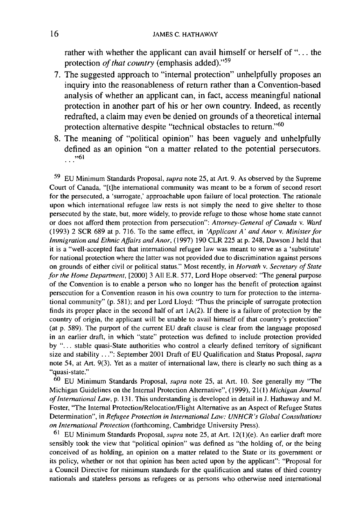rather with whether the applicant can avail himself or herself of " $\dots$  the protection *of that country* (emphasis added)."<sup>59</sup>

- 7. The suggested approach to "internal protection" unhelpfully proposes an inquiry into the reasonableness of return rather than a Convention-based analysis of whether an applicant can, in fact, access meaningful national protection in another part of his or her own country. Indeed, as recently redrafted, a claim may even be denied on grounds of a theoretical internal protection alternative despite "technical obstacles to retum."<sup>60</sup>
- 8. The meaning of "political opinion" has been vaguely and unhelpfully defined as an opinion "on a matter related to the potential persecutors.  $\cdots$ <sup>161</sup>

59 EU Minimum Standards Proposal, *supra* note 25, at Art. 9. As observed by the Supreme Court of Canada, "[t]he international community was meant to be a forum of second resort for the persecuted, a 'surrogate,' approachable upon failure of local protection. The rationale upon which international refugee law rests is not simply the need to give shelter to those persecuted by the state, but, more widely, to provide refuge to those whose home state cannot or does not afford them protection from persecution": *Attorney-General of Canada* v. *Ward*  (1993) 2 SCR 689 at p. 716. To the same effect, in *'Applicant A' and Anor* v. *Minister for Immigration and Ethnic Affairs and Anor,* ( 1997) 190 CLR 225 at p. 248, Dawson J held that it is a "well-accepted fact that international refugee law was meant to serve as a 'substitute' for national protection where the latter was not provided due to discrimination against persons on grounds of either civil or political status." Most recently, in *Horvath* v. *Secretary of State for the Home Department,* [2000] 3 All E.R. 577, Lord Hope observed: "The general purpose of the Convention is to enable a person who no longer has the benefit of protection against persecution for a Convention reason in his own country to tum for protection to the international community" (p. 581); and per Lord Lloyd: "Thus the principle of surrogate protection finds its proper place in the second half of art  $1A(2)$ . If there is a failure of protection by the country of origin, the applicant will be unable to avail himself of that country's protection" (at p. 589). The purport of the current EU draft clause is clear from the language proposed in an earlier draft, in which "state" protection was defined to include protection provided by "... stable quasi-State authorities who control a clearly defined territory of significant size and stability ... ": September 2001 Draft of EU Qualification and Status Proposal, *supra*  note 54, at Art. 9(3). Yet as a matter of international law, there is clearly no such thing as a "quasi-state."

60 EU Minimum Standards Proposal, *supra* note 25, at Art. 10. See generally my "The Michigan Guidelines on the Internal Protection Alternative", (1999), 21 (I) *Michigan Journal of International Law,* p. 131. This understanding is developed in detail in J. Hathaway and M. Foster, "The Internal Protection/Relocation/Flight Alternative as an Aspect of Refugee Status Determination", in *Refugee Protection in International Law: UNHCR's Global Consultations on International Protection* (forthcoming, Cambridge University Press).

61 EU Minimum Standards Proposal, *supra* note 25, at Art. 12(l)(e). An earlier draft more sensibly took the view that "political opinion" was defined as "the holding of, or the being conceived of as holding, an opinion on a matter related to the State or its government or its policy, whether or not that opinion has been acted upon by the applicant": "Proposal for a Council Directive for minimum standards for the qualification and status of third country nationals and stateless persons as refugees or as persons who otherwise need international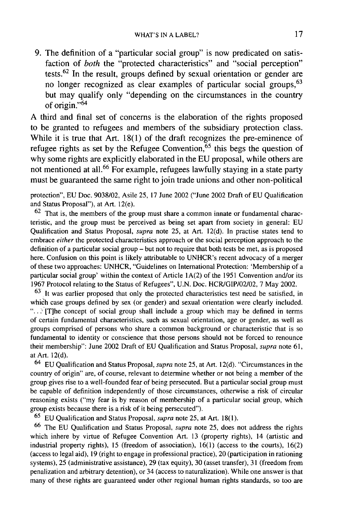9. The definition of a "particular social group" is now predicated on satisfaction of *both* the "protected characteristics" and "social perception" tests.<sup>62</sup> In the result, groups defined by sexual orientation or gender are no longer recognized as clear examples of particular social groups,<sup>63</sup> but may qualify only "depending on the circumstances in the country of origin."<sup>64</sup>

A third and final set of concerns is the elaboration of the rights proposed to be granted to refugees and members of the subsidiary protection class. While it is true that Art. 18(1) of the draft recognizes the pre-eminence of refugee rights as set by the Refugee Convention,  $65$  this begs the question of why some rights are explicitly elaborated in the EU proposal, while others are not mentioned at all.<sup>66</sup> For example, refugees lawfully staying in a state party must be guaranteed the same right to join trade unions and other non-political

protection", EU Doc. 9038/02, Asile 25, 17 June 2002 ("June 2002 Draft of EU Qualification and Status Proposal"), at Art. 12(e).

 $62$  That is, the members of the group must share a common innate or fundamental characteristic, and the group must be perceived as being set apart from society in general: EU Qualification and Status Proposal, *supra* note 25, at Art. 12(d). In practise states tend to embrace *either* the protected characteristics approach or the social perception approach to the definition of a particular social group – but not to require that both tests be met, as is proposed here. Confusion on this point is likely attributable to UNHCR's recent advocacy of a merger of these two approaches: UNHCR, "Guidelines on International Protection: 'Membership of a particular social group' within the context of Article 1A(2) of the 1951 Convention and/or its 1967 Protocol relating to the Status of Refugees", U.N. Doc. HCR/GIP/02/02, 7 May 2002.

 $63$  It was earlier proposed that only the protected characteristics test need be satisfied, in which case groups defined by sex (or gender) and sexual orientation were clearly included. "... [T]he concept of social group shall include a group which may be defined in terms of certain fundamental characteristics, such as sexual orientation, age or gender, as well as groups comprised of persons who share a common background or characteristic that is so fundamental to identity or conscience that those persons should not be forced to renounce their membership": June 2002 Draft of EU Qualification and Status Proposal, *supra* note 61, at Art. 12(d).

64 EU Qualification and Status Proposal, *supra* note 25, at Art. 12(d). "Circumstances in the country of origin" are, of course, relevant to determine whether or not being a member of the group gives rise to a well-founded fear of being persecuted. But a particular social group must be capable of definition independently of those circumstances, otherwise a risk of circular reasoning exists ("my fear is by reason of membership of a particular social group, which group exists because there is a risk of it being persecuted").

65 EU Qualification and Status Proposal, *supra* note 25, at Art. 18(1).

66 The EU Qualification and Status Proposal, *supra* note 25, does not address the rights which inhere by virtue of Refugee Convention Art. 13 (property rights), 14 (artistic and industrial property rights), 15 (freedom of association), 16(1) (access to the courts), 16(2) (access to legal aid), 19 (right to engage in professional practice), 20 (participation in rationing systems), 25 (administrative assistance), 29 (tax equity), 30 (asset transfer), 31 (freedom from penalization and arbitrary detention), or 34 (access to naturalization). While one answer is that many of these rights are guaranteed under other regional human rights standards, so too are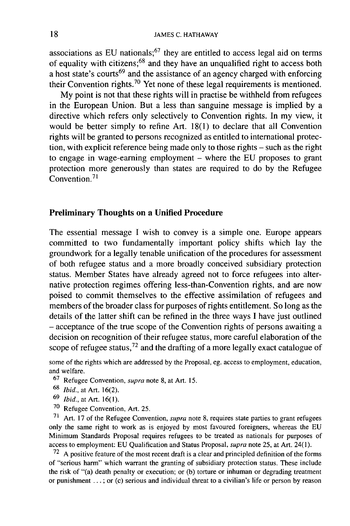associations as EU nationals; $67$  they are entitled to access legal aid on terms of equality with citizens;<sup>68</sup> and they have an unqualified right to access both a host state's courts<sup>69</sup> and the assistance of an agency charged with enforcing their Convention rights.<sup>70</sup> Yet none of these legal requirements is mentioned.

My point is not that these rights will in practise be withheld from refugees in the European Union. But a less than sanguine message is implied by a directive which refers only selectively to Convention rights. In my view, it would be better simply to refine Art. 18(1) to declare that all Convention rights will be granted to persons recognized as entitled to international protection, with explicit reference being made only to those rights - such as the right to engage in wage-earning employment – where the EU proposes to grant protection more generously than states are required to do by the Refugee Convention<sup>71</sup>

#### **Preliminary Thoughts on a Unified Procedure**

The essential message I wish to convey is a simple one. Europe appears committed to two fundamentally important policy shifts which lay the groundwork for a legally tenable unification of the procedures for assessment of both refugee status and a more broadly conceived subsidiary protection status. Member States have already agreed not to force refugees into alternative protection regimes offering less-than-Convention rights, and are now poised to commit themselves to the effective assimilation of refugees and members of the broader class for purposes of rights entitlement. So long as the details of the latter shift can be refined in the three ways I have just outlined - acceptance of the true scope of the Convention rights of persons awaiting a decision on recognition of their refugee status, more careful elaboration of the scope of refugee status,<sup>72</sup> and the drafting of a more legally exact catalogue of

some of the rights which are addressed by the Proposal, eg. access to employment, education, and welfare.

- 67 Refugee Convention, *supra* note 8, at Art. 15.
- <sup>68</sup>*Ibid.,* at Art. 16(2).
- <sup>69</sup>*Ibid.,* at Art. 16(1).
- 70 Refugee Convention, Art. 25.

71 Art. 17 of the Refugee Convention, *supra* note 8, requires state parties to grant refugees only the same right to work as is enjoyed by most favoured foreigners, whereas the EU Minimum Standards Proposal requires refugees to be treated as nationals for purposes of access to employment: EU Qualification and Status Proposal, *supra* note 25, at Art. 24(1).

 $72$  A positive feature of the most recent draft is a clear and principled definition of the forms of "serious harm" which warrant the granting of subsidiary protection status. These include the risk of "(a) death penalty or execution; or (b) torture or inhuman or degrading treatment or punishment ... ; or (c) serious and individual threat to a civilian's life or person by reason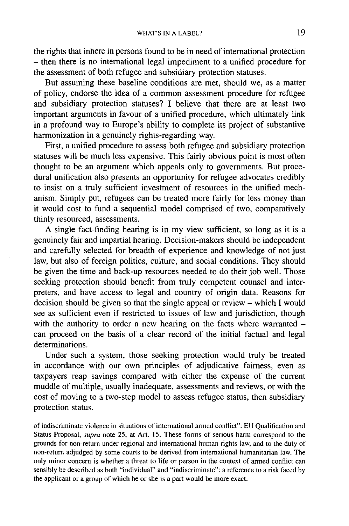the rights that inhere in persons found to be in need of international protection - then there is no international legal impediment to a unified procedure for the assessment of both refugee and subsidiary protection statuses.

But assuming these baseline conditions are met, should we, as a matter of policy, endorse the idea of a common assessment procedure for refugee and subsidiary protection statuses? I believe that there are at least two important arguments in favour of a unified procedure, which ultimately link in a profound way to Europe's ability to complete its project of substantive harmonization in a genuinely rights-regarding way.

First, a unified procedure to assess both refugee and subsidiary protection statuses will be much less expensive. This fairly obvious point is most often thought to be an argument which appeals only to governments. But procedural unification also presents an opportunity for refugee advocates credibly to insist on a truly sufficient investment of resources in the unified mechanism. Simply put, refugees can be treated more fairly for less money than it would cost to fund a sequential model comprised of two, comparatively thinly resourced, assessments.

A single fact-finding hearing is in my view sufficient, so long as it is a genuinely fair and impartial hearing. Decision-makers should be independent and carefully selected for breadth of experience and knowledge of not just law, but also of foreign politics, culture, and social conditions. They should be given the time and back-up resources needed to do their job well. Those seeking protection should benefit from truly competent counsel and interpreters, and have access to legal and country of origin data. Reasons for decision should be given so that the single appeal or review  $-$  which I would see as sufficient even if restricted to issues of law and jurisdiction, though with the authority to order a new hearing on the facts where warranted – can proceed on the basis of a clear record of the initial factual and legal determinations.

Under such a system, those seeking protection would truly be treated in accordance with our own principles of adjudicative fairness, even as taxpayers reap savings compared with either the expense of the current muddle of multiple, usually inadequate, assessments and reviews, or with the cost of moving to a two-step model to assess refugee status, then subsidiary protection status.

of indiscriminate violence in situations of international armed conflict": EU Qualification and Status Proposal, *supra* note 25, at Art. 15. These forms of serious harm correspond to the grounds for non-return under regional and international human rights Jaw, and to the duty of non-return adjudged by some courts to be derived from international humanitarian Jaw. The only minor concern is whether a threat to life or person in the context of armed conflict can sensibly be described as both "individual" and "indiscriminate": a reference to a risk faced by the applicant or a group of which he or she is a part would be more exact.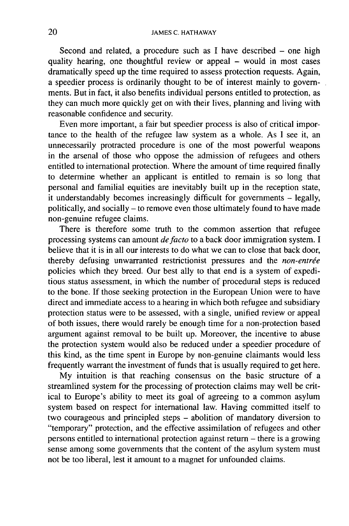Second and related, a procedure such as I have described  $-$  one high quality hearing, one thoughtful review or appeal – would in most cases dramatically speed up the time required to assess protection requests. Again, a speedier process is ordinarily thought to be of interest mainly to governments. But in fact, it also benefits individual persons entitled to protection, as they can much more quickly get on with their lives, planning and living with reasonable confidence and security.

Even more important, a fair but speedier process is also of critical importance to the health of the refugee law system as a whole. As I see it, an unnecessarily protracted procedure is one of the most powerful weapons in the arsenal of those who oppose the admission of refugees and others entitled to international protection. Where the amount of time required finally to determine whether an applicant is entitled to remain is so long that personal and familial equities are inevitably built up in the reception state, it understandably becomes increasingly difficult for governments – legally, politically, and socially - to remove even those ultimately found to have made non-genuine refugee claims.

There is therefore some truth to the common assertion that refugee processing systems can amount *de facto* to a back door immigration system. I believe that it is in all our interests to do what we can to close that back door, thereby defusing unwarranted restrictionist pressures and the *non-entree*  policies which they breed. Our best ally to that end is a system of expeditious status assessment, in which the number of procedural steps is reduced to the bone. If those seeking protection in the European Union were to have direct and immediate access to a hearing in which both refugee and subsidiary protection status were to be assessed, with a single, unified review or appeal of both issues, there would rarely be enough time for a non-protection based argument against removal to be built up. Moreover, the incentive to abuse the protection system would also be reduced under a speedier procedure of this kind, as the time spent in Europe by non-genuine claimants would less frequently warrant the investment of funds that is usually required to get here.

My intuition is that reaching consensus on the basic structure of a streamlined system for the processing of protection claims may well be critical to Europe's ability to meet its goal of agreeing to a common asylum system based on respect for international law. Having committed itself to two courageous and principled steps - abolition of mandatory diversion to "temporary" protection, and the effective assimilation of refugees and other persons entitled to international protection against return – there is a growing sense among some governments that the content of the asylum system must not be too liberal, lest it amount to a magnet for unfounded claims.